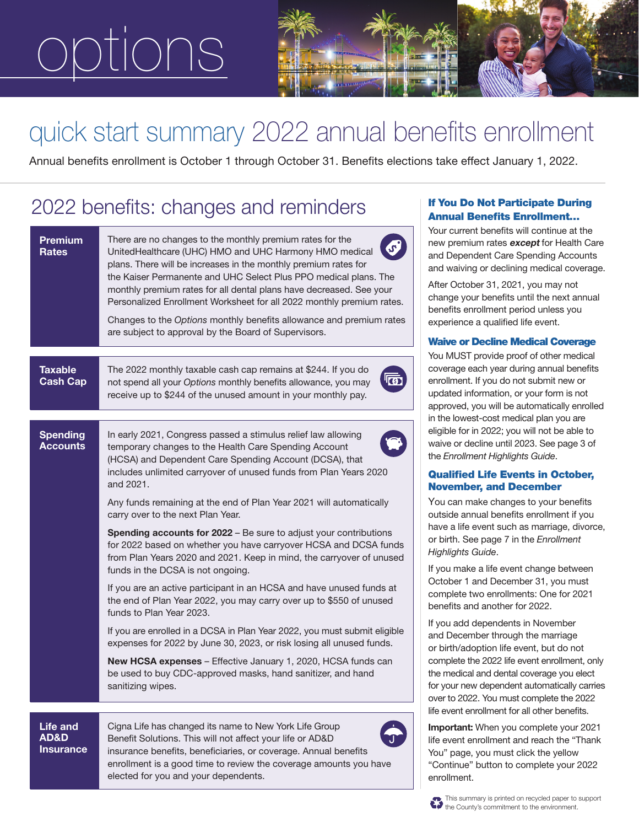# ions



## quick start summary 2022 annual benefits enrollment

Annual benefits enrollment is October 1 through October 31. Benefits elections take effect January 1, 2022.

### 2022 benefits: changes and reminders

| Premium<br><b>Rates</b>                     | rou<br>There are no changes to the monthly premium rates for the<br>new<br>$\sigma$<br>UnitedHealthcare (UHC) HMO and UHC Harmony HMO medical<br>and<br>plans. There will be increases in the monthly premium rates for<br>and<br>the Kaiser Permanente and UHC Select Plus PPO medical plans. The<br>Afte<br>monthly premium rates for all dental plans have decreased. See your<br>cha<br>Personalized Enrollment Worksheet for all 2022 monthly premium rates.<br>ben<br>Changes to the Options monthly benefits allowance and premium rates<br>exp<br>are subject to approval by the Board of Supervisors.<br><b>Wa</b>                                                                                                                                                                                                                                                                                                                                                                                                                                                                                                                                                                                                                                                                                            |
|---------------------------------------------|------------------------------------------------------------------------------------------------------------------------------------------------------------------------------------------------------------------------------------------------------------------------------------------------------------------------------------------------------------------------------------------------------------------------------------------------------------------------------------------------------------------------------------------------------------------------------------------------------------------------------------------------------------------------------------------------------------------------------------------------------------------------------------------------------------------------------------------------------------------------------------------------------------------------------------------------------------------------------------------------------------------------------------------------------------------------------------------------------------------------------------------------------------------------------------------------------------------------------------------------------------------------------------------------------------------------|
| <b>Taxable</b><br><b>Cash Cap</b>           | You<br><b>COV</b><br>The 2022 monthly taxable cash cap remains at \$244. If you do<br>enro<br>not spend all your Options monthly benefits allowance, you may<br>upd<br>receive up to \$244 of the unused amount in your monthly pay.<br>app                                                                                                                                                                                                                                                                                                                                                                                                                                                                                                                                                                                                                                                                                                                                                                                                                                                                                                                                                                                                                                                                            |
| <b>Spending</b><br><b>Accounts</b>          | in th<br>eligi<br>In early 2021, Congress passed a stimulus relief law allowing<br>wai<br>temporary changes to the Health Care Spending Account<br>the.<br>(HCSA) and Dependent Care Spending Account (DCSA), that<br>includes unlimited carryover of unused funds from Plan Years 2020<br>Qu<br>and 2021.<br>No<br>You<br>Any funds remaining at the end of Plan Year 2021 will automatically<br>carry over to the next Plan Year.<br>outs<br>hav<br><b>Spending accounts for 2022</b> – Be sure to adjust your contributions<br>or b<br>for 2022 based on whether you have carryover HCSA and DCSA funds<br>Higl<br>from Plan Years 2020 and 2021. Keep in mind, the carryover of unused<br>If yc<br>funds in the DCSA is not ongoing.<br>Oct<br>If you are an active participant in an HCSA and have unused funds at<br>con<br>the end of Plan Year 2022, you may carry over up to \$550 of unused<br>ben<br>funds to Plan Year 2023.<br>If yo<br>If you are enrolled in a DCSA in Plan Year 2022, you must submit eligible<br>and<br>expenses for 2022 by June 30, 2023, or risk losing all unused funds.<br>or b<br>New HCSA expenses - Effective January 1, 2020, HCSA funds can<br>com<br>be used to buy CDC-approved masks, hand sanitizer, and hand<br>the i<br>sanitizing wipes.<br>for <sub>)</sub><br>over |
| <b>Life and</b><br>AD&D<br><b>Insurance</b> | life $\epsilon$<br>Cigna Life has changed its name to New York Life Group<br>Imp<br>Benefit Solutions. This will not affect your life or AD&D<br>life (<br>insurance benefits, beneficiaries, or coverage. Annual benefits<br>You                                                                                                                                                                                                                                                                                                                                                                                                                                                                                                                                                                                                                                                                                                                                                                                                                                                                                                                                                                                                                                                                                      |

enrollment is a good time to review the coverage amounts you have

elected for you and your dependents.

### If You Do Not Participate During Annual Benefits Enrollment…

Ir current benefits will continue at the premium rates except for Health Care Dependent Care Spending Accounts waiving or declining medical coverage.

r October 31, 2021, you may not nge your benefits until the next annual efits enrollment period unless you erience a qualified life event.

#### ive or Decline Medical Coverage

MUST provide proof of other medical erage each year during annual benefits bllment. If you do not submit new or lated information, or your form is not proved, you will be automatically enrolled ie lowest-cost medical plan you are ible for in 2022; you will not be able to ve or decline until 2023. See page 3 of **Enrollment Highlights Guide.** 

### alified Life Events in October, vember, and December

I can make changes to your benefits side annual benefits enrollment if you e a life event such as marriage, divorce, birth. See page 7 in the *Enrollment Highlights Guide*.

ou make a life event change between ober 1 and December 31, you must complete two enrollments: One for 2021 efits and another for 2022.

ou add dependents in November December through the marriage irth/adoption life event, but do not nplete the 2022 life event enrollment, only medical and dental coverage you elect your new dependent automatically carries r to 2022. You must complete the 2022 event enrollment for all other benefits.

ortant: When you complete your 2021 event enrollment and reach the "Thank " page, you must click the yellow "Continue" button to complete your 2022 enrollment.